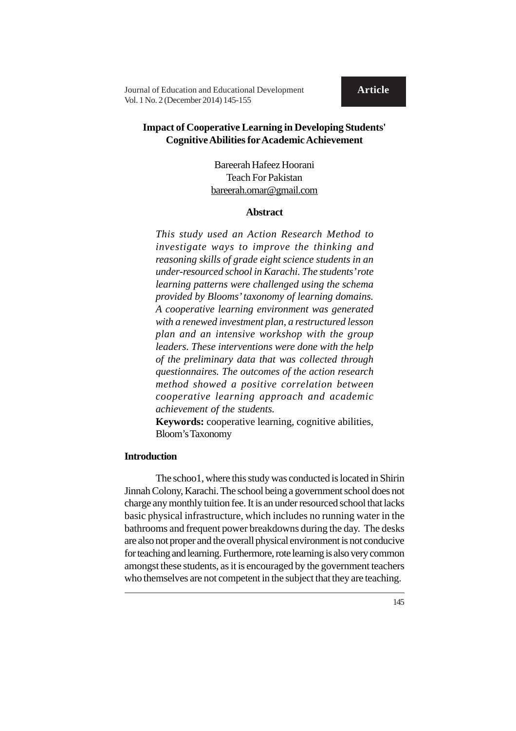**Article**

**Journal of Education and Educational Development Article** Vol. 1 No. 2 (December 2014) 145-155

# **Impact of Cooperative Learning in Developing Students' Cognitive Abilities for Academic Achievement**

Bareerah Hafeez Hoorani Teach For Pakistan bareerah.omar@gmail.com

#### **Abstract**

*This study used an Action Research Method to investigate ways to improve the thinking and reasoning skills of grade eight science students in an under-resourced school in Karachi. The students' rote learning patterns were challenged using the schema provided by Blooms' taxonomy of learning domains. A cooperative learning environment was generated with a renewed investment plan, a restructured lesson plan and an intensive workshop with the group leaders. These interventions were done with the help of the preliminary data that was collected through questionnaires. The outcomes of the action research method showed a positive correlation between cooperative learning approach and academic achievement of the students.*

**Keywords:** cooperative learning, cognitive abilities, Bloom's Taxonomy

## **Introduction**

The schoo1, where this study was conducted is located in Shirin Jinnah Colony, Karachi. The school being a government school does not charge any monthly tuition fee. It is an under resourced school that lacks basic physical infrastructure, which includes no running water in the bathrooms and frequent power breakdowns during the day. The desks are also not proper and the overall physical environment is not conducive for teaching and learning. Furthermore, rote learning is also very common amongst these students, as it is encouraged by the government teachers who themselves are not competent in the subject that they are teaching.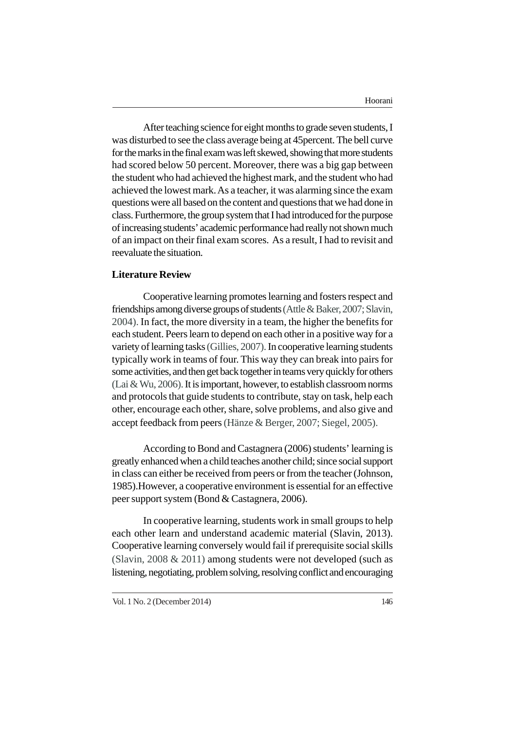After teaching science for eight months to grade seven students, I was disturbed to see the class average being at 45percent. The bell curve for the marks in the final exam was left skewed, showing that more students had scored below 50 percent. Moreover, there was a big gap between the student who had achieved the highest mark, and the student who had achieved the lowest mark. As a teacher, it was alarming since the exam questions were all based on the content and questions that we had done in class. Furthermore, the group system that I had introduced for the purpose of increasing students' academic performance had really not shown much of an impact on their final exam scores. As a result, I had to revisit and reevaluate the situation.

## **Literature Review**

Cooperative learning promotes learning and fosters respect and friendships among diverse groups of students (Attle & Baker, 2007; Slavin, 2004). In fact, the more diversity in a team, the higher the benefits for each student. Peers learn to depend on each other in a positive way for a variety of learning tasks (Gillies, 2007). In cooperative learning students typically work in teams of four. This way they can break into pairs for some activities, and then get back together in teams very quickly for others (Lai & Wu, 2006). It is important, however, to establish classroom norms and protocols that guide students to contribute, stay on task, help each other, encourage each other, share, solve problems, and also give and accept feedback from peers (Hänze & Berger, 2007; Siegel, 2005).

According to Bond and Castagnera (2006) students' learning is greatly enhanced when a child teaches another child; since social support in class can either be received from peers or from the teacher (Johnson, 1985).However, a cooperative environment is essential for an effective peer support system (Bond & Castagnera, 2006).

In cooperative learning, students work in small groups to help each other learn and understand academic material (Slavin, 2013). Cooperative learning conversely would fail if prerequisite social skills (Slavin, 2008 & 2011) among students were not developed (such as listening, negotiating, problem solving, resolving conflict and encouraging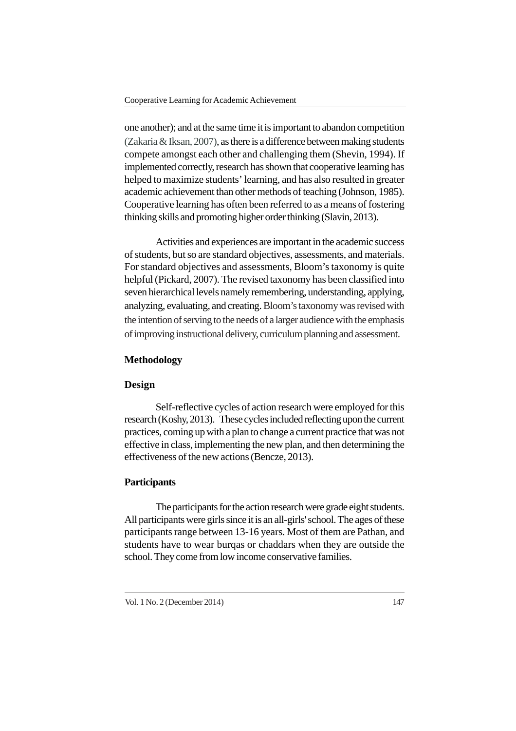one another); and at the same time it is important to abandon competition (Zakaria & Iksan, 2007), as there is a difference between making students compete amongst each other and challenging them (Shevin, 1994). If implemented correctly, research has shown that cooperative learning has helped to maximize students' learning, and has also resulted in greater academic achievement than other methods of teaching (Johnson, 1985). Cooperative learning has often been referred to as a means of fostering thinking skills and promoting higher order thinking (Slavin, 2013).

Activities and experiences are important in the academic success of students, but so are standard objectives, assessments, and materials. For standard objectives and assessments, Bloom's taxonomy is quite helpful (Pickard, 2007). The revised taxonomy has been classified into seven hierarchical levels namely remembering, understanding, applying, analyzing, evaluating, and creating. Bloom's taxonomy was revised with the intention of serving to the needs of a larger audience with the emphasis of improving instructional delivery, curriculum planning and assessment.

### **Methodology**

## **Design**

Self-reflective cycles of action research were employed for this research (Koshy, 2013). These cycles included reflecting upon the current practices, coming up with a plan to change a current practice that was not effective in class, implementing the new plan, and then determining the effectiveness of the new actions (Bencze, 2013).

## **Participants**

The participants for the action research were grade eight students. All participants were girls since it is an all-girls' school. The ages of these participants range between 13-16 years. Most of them are Pathan, and students have to wear burqas or chaddars when they are outside the school. They come from low income conservative families.

Vol. 1 No. 2 (December 2014)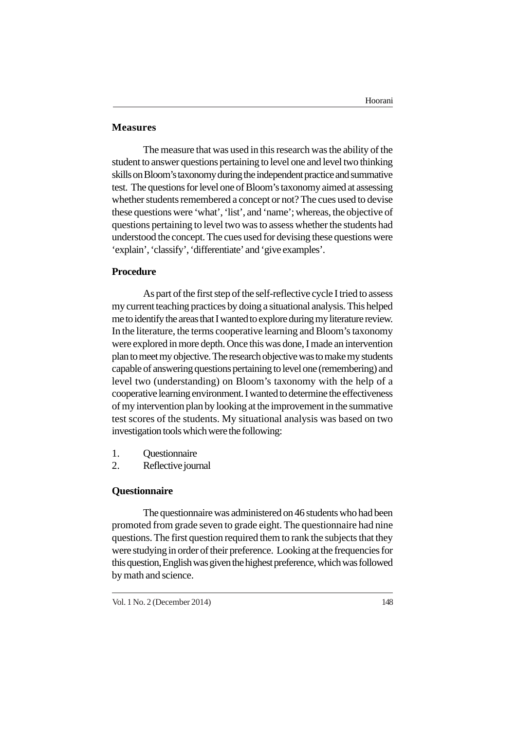## **Measures**

The measure that was used in this research was the ability of the student to answer questions pertaining to level one and level two thinking skills on Bloom's taxonomy during the independent practice and summative test. The questions for level one of Bloom's taxonomy aimed at assessing whether students remembered a concept or not? The cues used to devise these questions were 'what', 'list', and 'name'; whereas, the objective of questions pertaining to level two was to assess whether the students had understood the concept. The cues used for devising these questions were 'explain', 'classify', 'differentiate' and 'give examples'.

## **Procedure**

As part of the first step of the self-reflective cycle I tried to assess my current teaching practices by doing a situational analysis. This helped me to identify the areas that I wanted to explore during my literature review. In the literature, the terms cooperative learning and Bloom's taxonomy were explored in more depth. Once this was done, I made an intervention plan to meet my objective. The research objective was to make my students capable of answering questions pertaining to level one (remembering) and level two (understanding) on Bloom's taxonomy with the help of a cooperative learning environment. I wanted to determine the effectiveness of my intervention plan by looking at the improvement in the summative test scores of the students. My situational analysis was based on two investigation tools which were the following:

- 1. Questionnaire
- 2. Reflective journal

## **Questionnaire**

The questionnaire was administered on 46 students who had been promoted from grade seven to grade eight. The questionnaire had nine questions. The first question required them to rank the subjects that they were studying in order of their preference. Looking at the frequencies for this question, English was given the highest preference, which was followed by math and science.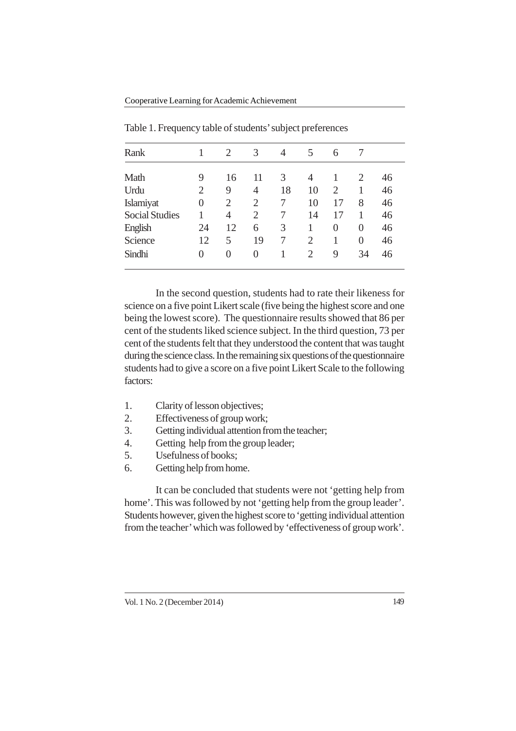Cooperative Learning for Academic Achievement

| Rank                  |                | 2  | 3              | 4  | 5              | 6              |    |    |  |
|-----------------------|----------------|----|----------------|----|----------------|----------------|----|----|--|
| Math                  | 9              | 16 | 11             | 3  | 4              | 1              | 2  | 46 |  |
| Urdu                  | $\overline{2}$ | 9  | 4              | 18 | 10             | $\overline{c}$ | 1  | 46 |  |
| Islamiyat             | $\overline{0}$ | 2  | $\overline{2}$ | 7  | 10             | 17             | 8  | 46 |  |
| <b>Social Studies</b> |                | 4  | $\overline{2}$ | 7  | 14             | 17             | 1  | 46 |  |
| English               | 24             | 12 | 6              | 3  | 1              | $\theta$       | 0  | 46 |  |
| Science               | 12             | 5  | 19             | 7  | $\overline{2}$ | 1              | 0  | 46 |  |
| Sindhi                | 0              | 0  | 0              |    | $\overline{2}$ | 9              | 34 | 46 |  |
|                       |                |    |                |    |                |                |    |    |  |

Table 1. Frequency table of students' subject preferences

In the second question, students had to rate their likeness for science on a five point Likert scale (five being the highest score and one being the lowest score). The questionnaire results showed that 86 per cent of the students liked science subject. In the third question, 73 per cent of the students felt that they understood the content that was taught during the science class. In the remaining six questions of the questionnaire students had to give a score on a five point Likert Scale to the following factors:

- 1. Clarity of lesson objectives;
- 2. Effectiveness of group work;
- 3. Getting individual attention from the teacher;
- 4. Getting help from the group leader;
- 5. Usefulness of books;
- 6. Getting help from home.

It can be concluded that students were not 'getting help from home'. This was followed by not 'getting help from the group leader'. Students however, given the highest score to 'getting individual attention from the teacher' which was followed by 'effectiveness of group work'.

Vol. 1 No. 2 (December 2014) 149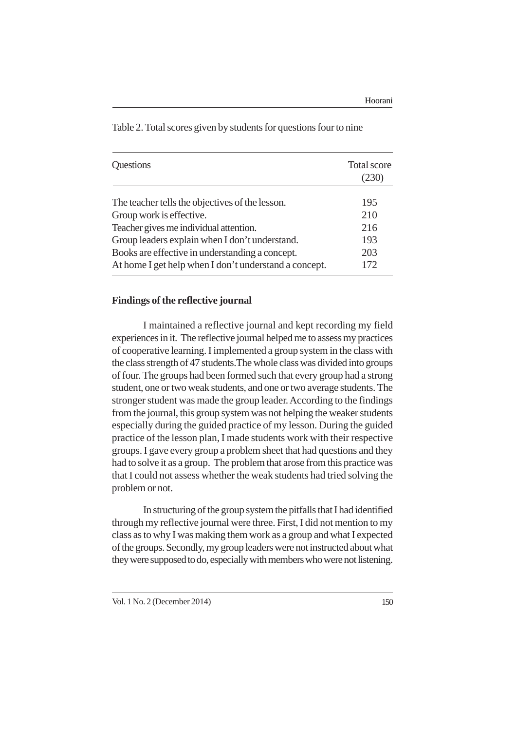|                                                       | <b>Total score</b><br>(230) |  |  |
|-------------------------------------------------------|-----------------------------|--|--|
| The teacher tells the objectives of the lesson.       | 195                         |  |  |
| Group work is effective.                              | 210                         |  |  |
| Teacher gives me individual attention.                | 216                         |  |  |
| Group leaders explain when I don't understand.        | 193                         |  |  |
| Books are effective in understanding a concept.       | 203                         |  |  |
| At home I get help when I don't understand a concept. | 172                         |  |  |

Table 2. Total scores given by students for questions four to nine

## **Findings of the reflective journal**

I maintained a reflective journal and kept recording my field experiences in it. The reflective journal helped me to assess my practices of cooperative learning. I implemented a group system in the class with the class strength of 47 students.The whole class was divided into groups of four. The groups had been formed such that every group had a strong student, one or two weak students, and one or two average students. The stronger student was made the group leader. According to the findings from the journal, this group system was not helping the weaker students especially during the guided practice of my lesson. During the guided practice of the lesson plan, I made students work with their respective groups. I gave every group a problem sheet that had questions and they had to solve it as a group. The problem that arose from this practice was that I could not assess whether the weak students had tried solving the problem or not.

In structuring of the group system the pitfalls that I had identified through my reflective journal were three. First, I did not mention to my class as to why I was making them work as a group and what I expected of the groups. Secondly, my group leaders were not instructed about what they were supposed to do, especially with members who were not listening.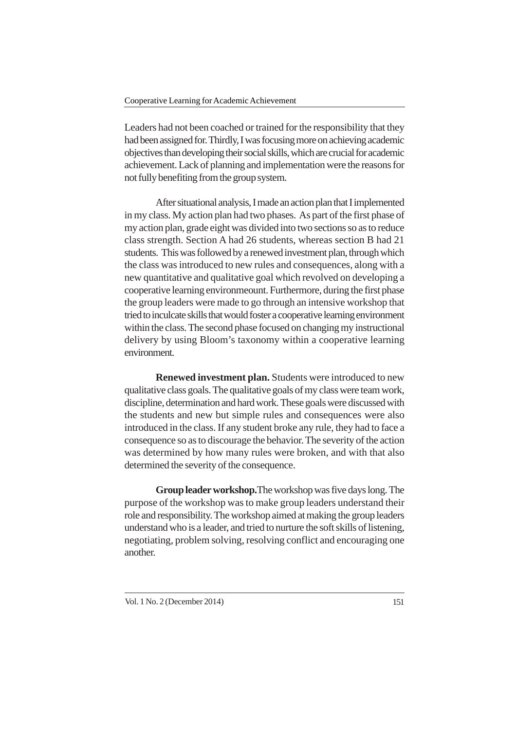Leaders had not been coached or trained for the responsibility that they had been assigned for. Thirdly, I was focusing more on achieving academic objectives than developing their social skills, which are crucial for academic achievement. Lack of planning and implementation were the reasons for not fully benefiting from the group system.

After situational analysis, I made an action plan that I implemented in my class. My action plan had two phases. As part of the first phase of my action plan, grade eight was divided into two sections so as to reduce class strength. Section A had 26 students, whereas section B had 21 students. This was followed by a renewed investment plan, through which the class was introduced to new rules and consequences, along with a new quantitative and qualitative goal which revolved on developing a cooperative learning environmeount. Furthermore, during the first phase the group leaders were made to go through an intensive workshop that tried to inculcate skills that would foster a cooperative learning environment within the class. The second phase focused on changing my instructional delivery by using Bloom's taxonomy within a cooperative learning environment.

**Renewed investment plan.** Students were introduced to new qualitative class goals. The qualitative goals of my class were team work, discipline, determination and hard work. These goals were discussed with the students and new but simple rules and consequences were also introduced in the class. If any student broke any rule, they had to face a consequence so as to discourage the behavior. The severity of the action was determined by how many rules were broken, and with that also determined the severity of the consequence.

**Group leader workshop.**The workshop was five days long. The purpose of the workshop was to make group leaders understand their role and responsibility. The workshop aimed at making the group leaders understand who is a leader, and tried to nurture the soft skills of listening, negotiating, problem solving, resolving conflict and encouraging one another.

Vol. 1 No. 2 (December 2014) 151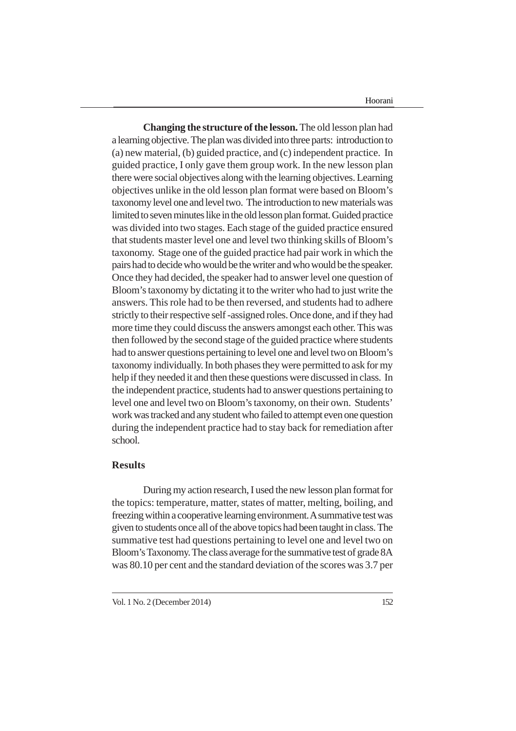Hoorani

**Changing the structure of the lesson.** The old lesson plan had a learning objective. The plan was divided into three parts: introduction to (a) new material, (b) guided practice, and (c) independent practice. In guided practice, I only gave them group work. In the new lesson plan there were social objectives along with the learning objectives. Learning objectives unlike in the old lesson plan format were based on Bloom's taxonomy level one and level two. The introduction to new materials was limited to seven minutes like in the old lesson plan format. Guided practice was divided into two stages. Each stage of the guided practice ensured that students master level one and level two thinking skills of Bloom's taxonomy. Stage one of the guided practice had pair work in which the pairs had to decide who would be the writer and who would be the speaker. Once they had decided, the speaker had to answer level one question of Bloom's taxonomy by dictating it to the writer who had to just write the answers. This role had to be then reversed, and students had to adhere strictly to their respective self -assigned roles. Once done, and if they had more time they could discuss the answers amongst each other. This was then followed by the second stage of the guided practice where students had to answer questions pertaining to level one and level two on Bloom's taxonomy individually. In both phases they were permitted to ask for my help if they needed it and then these questions were discussed in class. In the independent practice, students had to answer questions pertaining to level one and level two on Bloom's taxonomy, on their own. Students' work was tracked and any student who failed to attempt even one question during the independent practice had to stay back for remediation after school.

## **Results**

During my action research, I used the new lesson plan format for the topics: temperature, matter, states of matter, melting, boiling, and freezing within a cooperative learning environment. A summative test was given to students once all of the above topics had been taught in class. The summative test had questions pertaining to level one and level two on Bloom's Taxonomy. The class average for the summative test of grade 8A was 80.10 per cent and the standard deviation of the scores was 3.7 per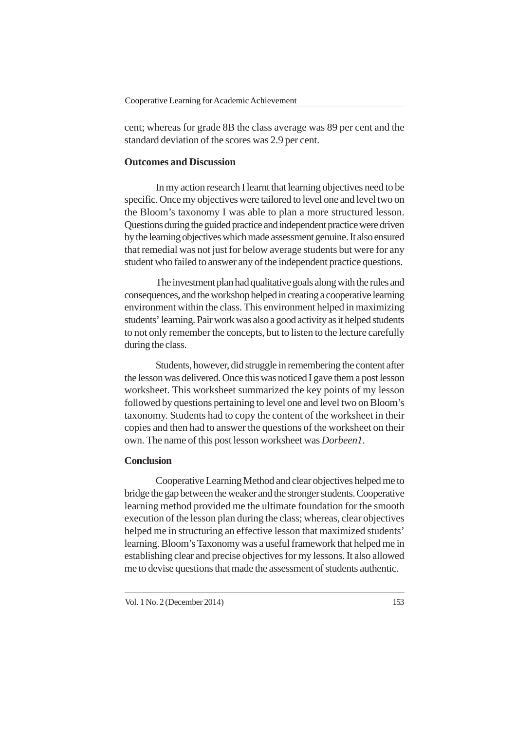cent; whereas for grade 8B the class average was 89 per cent and the standard deviation of the scores was 2.9 per cent.

## **Outcomes and Discussion**

In my action research I learnt that learning objectives need to be specific. Once my objectives were tailored to level one and level two on the Bloom's taxonomy I was able to plan a more structured lesson. Questions during the guided practice and independent practice were driven by the learning objectives which made assessment genuine. It also ensured that remedial was not just for below average students but were for any student who failed to answer any of the independent practice questions.

The investment plan had qualitative goals along with the rules and consequences, and the workshop helped in creating a cooperative learning environment within the class. This environment helped in maximizing students' learning. Pair work was also a good activity as it helped students to not only remember the concepts, but to listen to the lecture carefully during the class.

Students, however, did struggle in remembering the content after the lesson was delivered. Once this was noticed I gave them a post lesson worksheet. This worksheet summarized the key points of my lesson followed by questions pertaining to level one and level two on Bloom's taxonomy. Students had to copy the content of the worksheet in their copies and then had to answer the questions of the worksheet on their own. The name of this post lesson worksheet was *Dorbeen1*.

## **Conclusion**

Cooperative Learning Method and clear objectives helped me to bridge the gap between the weaker and the stronger students. Cooperative learning method provided me the ultimate foundation for the smooth execution of the lesson plan during the class; whereas, clear objectives helped me in structuring an effective lesson that maximized students' learning. Bloom's Taxonomy was a useful framework that helped me in establishing clear and precise objectives for my lessons. It also allowed me to devise questions that made the assessment of students authentic.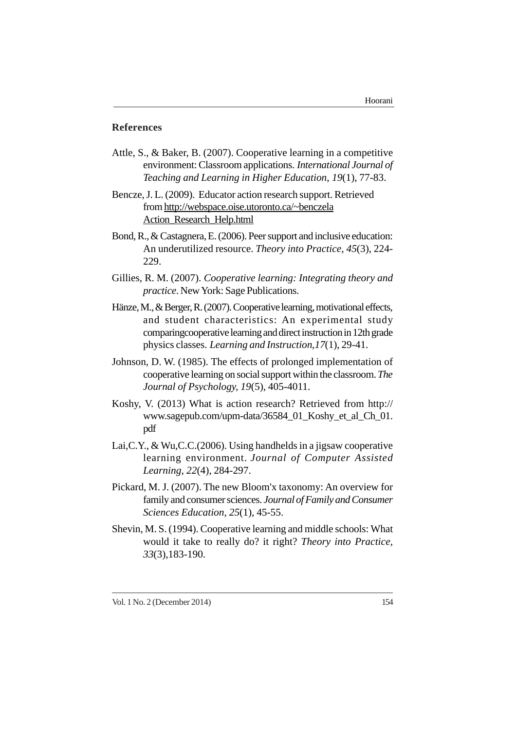## **References**

- Attle, S., & Baker, B. (2007). Cooperative learning in a competitive environment: Classroom applications. *International Journal of Teaching and Learning in Higher Education*, *19*(1), 77-83.
- Bencze, J. L. (2009). Educator action research support. Retrieved from http://webspace.oise.utoronto.ca/~benczela Action\_Research\_Help.html
- Bond, R., & Castagnera, E. (2006). Peer support and inclusive education: An underutilized resource. *Theory into Practice*, *45*(3), 224- 229.
- Gillies, R. M. (2007). *Cooperative learning: Integrating theory and practice*. New York: Sage Publications.
- Hänze, M., & Berger, R. (2007). Cooperative learning, motivational effects, and student characteristics: An experimental study comparingcooperative learning and direct instruction in 12th grade physics classes. *Learning and Instruction*,*17*(1), 29-41.
- Johnson, D. W. (1985). The effects of prolonged implementation of cooperative learning on social support within the classroom. *The Journal of Psychology, 19*(5), 405-4011.
- Koshy, V. (2013) What is action research? Retrieved from http:// www.sagepub.com/upm-data/36584\_01\_Koshy\_et\_al\_Ch\_01. pdf
- Lai,C.Y., & Wu,C.C.(2006). Using handhelds in a jigsaw cooperative learning environment. *Journal of Computer Assisted Learning*, *22*(4), 284-297.
- Pickard, M. J. (2007). The new Bloom'x taxonomy: An overview for family and consumer sciences. *Journal of Family and Consumer Sciences Education, 25*(1), 45-55.
- Shevin, M. S. (1994). Cooperative learning and middle schools: What would it take to really do? it right? *Theory into Practice, 33*(3),183-190.